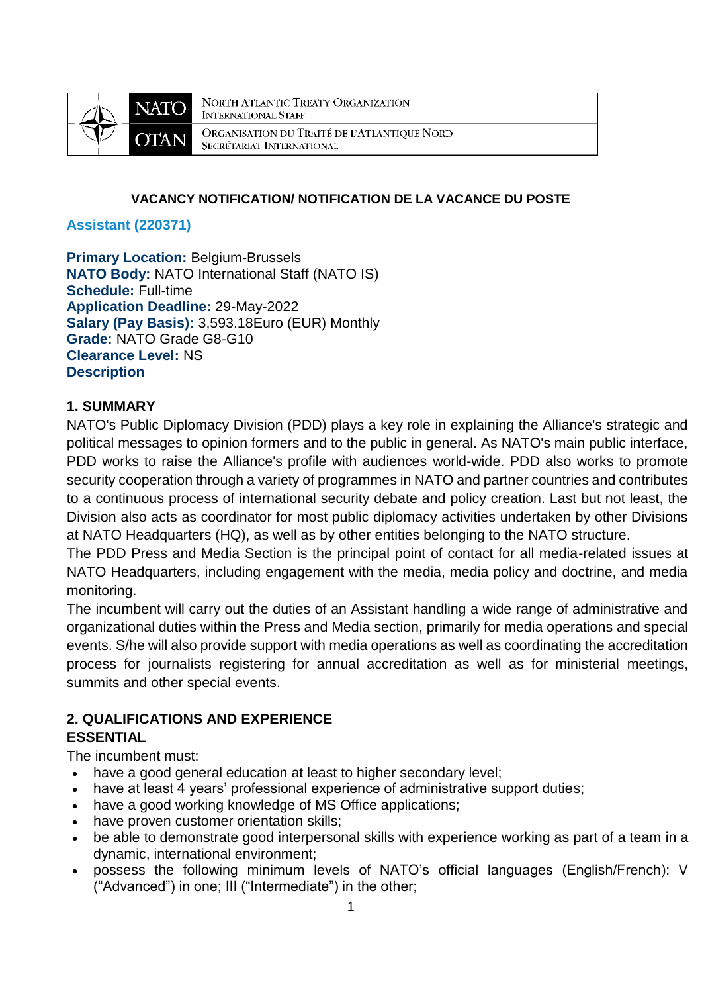

**NORTH ATLANTIC TREATY ORGANIZATION INTERNATIONAL STAFF** ORGANISATION DU TRAITÉ DE L'ATLANTIQUE NORD SECRÉTARIAT INTERNATIONAL

### **VACANCY NOTIFICATION/ NOTIFICATION DE LA VACANCE DU POSTE**

### **Assistant (220371)**

**Primary Location:** Belgium-Brussels **NATO Body:** NATO International Staff (NATO IS) **Schedule:** Full-time **Application Deadline:** 29-May-2022 **Salary (Pay Basis):** 3,593.18Euro (EUR) Monthly **Grade:** NATO Grade G8-G10 **Clearance Level:** NS **Description**

### **1. SUMMARY**

NATO's Public Diplomacy Division (PDD) plays a key role in explaining the Alliance's strategic and political messages to opinion formers and to the public in general. As NATO's main public interface, PDD works to raise the Alliance's profile with audiences world-wide. PDD also works to promote security cooperation through a variety of programmes in NATO and partner countries and contributes to a continuous process of international security debate and policy creation. Last but not least, the Division also acts as coordinator for most public diplomacy activities undertaken by other Divisions at NATO Headquarters (HQ), as well as by other entities belonging to the NATO structure.

The PDD Press and Media Section is the principal point of contact for all media-related issues at NATO Headquarters, including engagement with the media, media policy and doctrine, and media monitoring.

The incumbent will carry out the duties of an Assistant handling a wide range of administrative and organizational duties within the Press and Media section, primarily for media operations and special events. S/he will also provide support with media operations as well as coordinating the accreditation process for journalists registering for annual accreditation as well as for ministerial meetings, summits and other special events.

# **2. QUALIFICATIONS AND EXPERIENCE**

### **ESSENTIAL**

The incumbent must:

- have a good general education at least to higher secondary level;
- have at least 4 years' professional experience of administrative support duties;
- have a good working knowledge of MS Office applications;
- have proven customer orientation skills;
- be able to demonstrate good interpersonal skills with experience working as part of a team in a dynamic, international environment;
- possess the following minimum levels of NATO's official languages (English/French): V ("Advanced") in one; III ("Intermediate") in the other;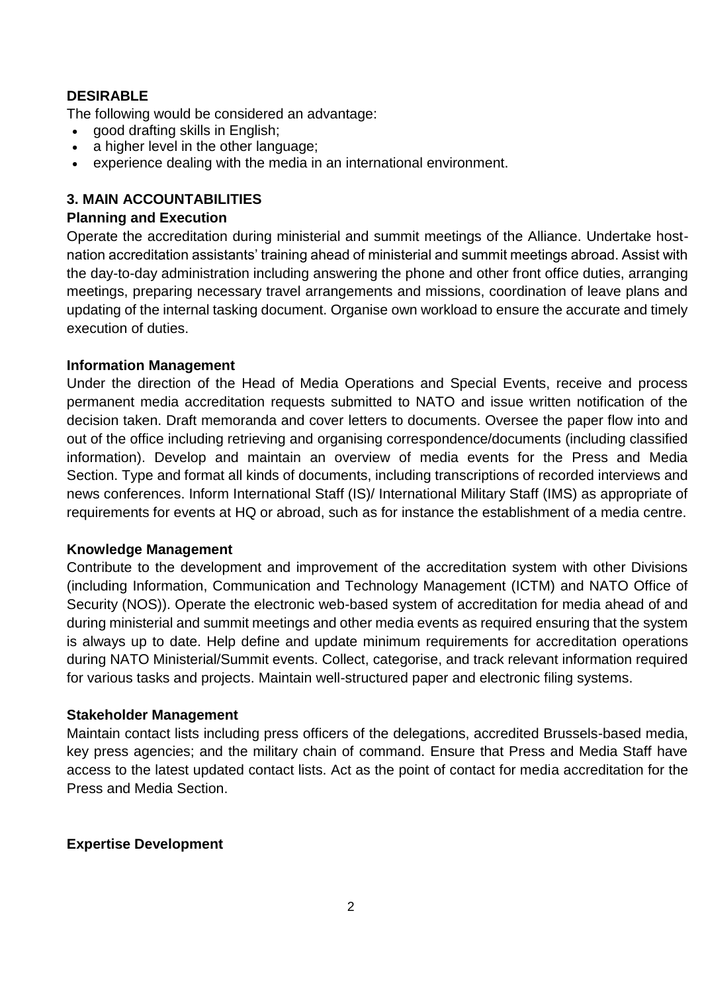# **DESIRABLE**

The following would be considered an advantage:

- good drafting skills in English;
- a higher level in the other language;
- experience dealing with the media in an international environment.

### **3. MAIN ACCOUNTABILITIES**

### **Planning and Execution**

Operate the accreditation during ministerial and summit meetings of the Alliance. Undertake hostnation accreditation assistants' training ahead of ministerial and summit meetings abroad. Assist with the day-to-day administration including answering the phone and other front office duties, arranging meetings, preparing necessary travel arrangements and missions, coordination of leave plans and updating of the internal tasking document. Organise own workload to ensure the accurate and timely execution of duties.

### **Information Management**

Under the direction of the Head of Media Operations and Special Events, receive and process permanent media accreditation requests submitted to NATO and issue written notification of the decision taken. Draft memoranda and cover letters to documents. Oversee the paper flow into and out of the office including retrieving and organising correspondence/documents (including classified information). Develop and maintain an overview of media events for the Press and Media Section. Type and format all kinds of documents, including transcriptions of recorded interviews and news conferences. Inform International Staff (IS)/ International Military Staff (IMS) as appropriate of requirements for events at HQ or abroad, such as for instance the establishment of a media centre.

#### **Knowledge Management**

Contribute to the development and improvement of the accreditation system with other Divisions (including Information, Communication and Technology Management (ICTM) and NATO Office of Security (NOS)). Operate the electronic web-based system of accreditation for media ahead of and during ministerial and summit meetings and other media events as required ensuring that the system is always up to date. Help define and update minimum requirements for accreditation operations during NATO Ministerial/Summit events. Collect, categorise, and track relevant information required for various tasks and projects. Maintain well-structured paper and electronic filing systems.

### **Stakeholder Management**

Maintain contact lists including press officers of the delegations, accredited Brussels-based media, key press agencies; and the military chain of command. Ensure that Press and Media Staff have access to the latest updated contact lists. Act as the point of contact for media accreditation for the Press and Media Section.

### **Expertise Development**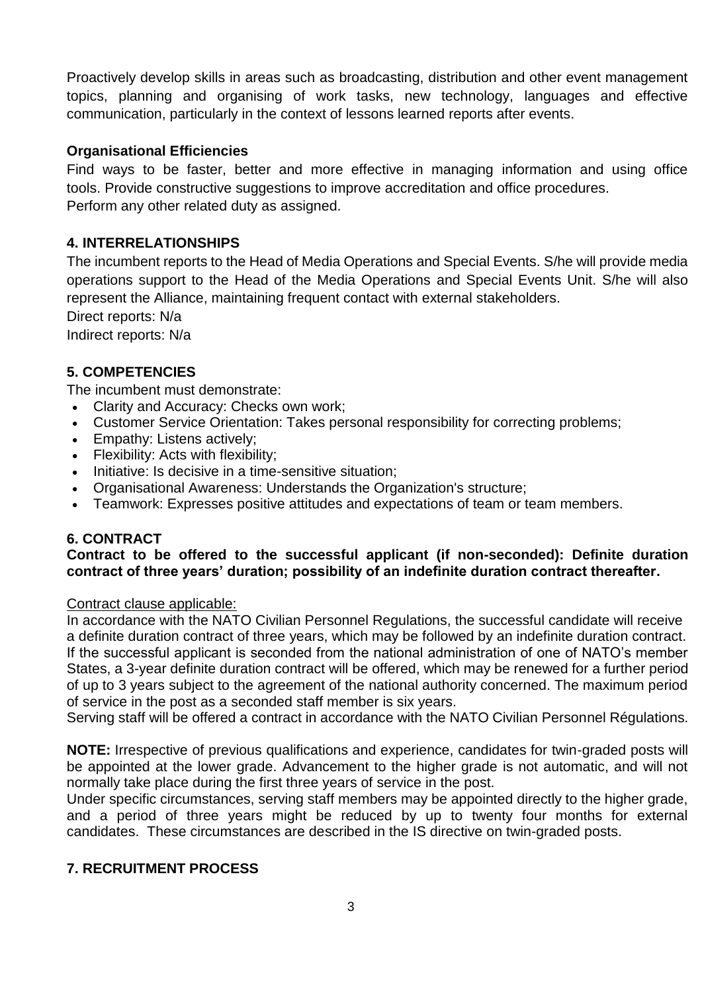Proactively develop skills in areas such as broadcasting, distribution and other event management topics, planning and organising of work tasks, new technology, languages and effective communication, particularly in the context of lessons learned reports after events.

### **Organisational Efficiencies**

Find ways to be faster, better and more effective in managing information and using office tools. Provide constructive suggestions to improve accreditation and office procedures. Perform any other related duty as assigned.

### **4. INTERRELATIONSHIPS**

The incumbent reports to the Head of Media Operations and Special Events. S/he will provide media operations support to the Head of the Media Operations and Special Events Unit. S/he will also represent the Alliance, maintaining frequent contact with external stakeholders.

Direct reports: N/a

Indirect reports: N/a

### **5. COMPETENCIES**

The incumbent must demonstrate:

- Clarity and Accuracy: Checks own work;
- Customer Service Orientation: Takes personal responsibility for correcting problems;
- Empathy: Listens actively;
- Flexibility: Acts with flexibility;
- Initiative: Is decisive in a time-sensitive situation:
- Organisational Awareness: Understands the Organization's structure;
- Teamwork: Expresses positive attitudes and expectations of team or team members.

### **6. CONTRACT**

### **Contract to be offered to the successful applicant (if non-seconded): Definite duration contract of three years' duration; possibility of an indefinite duration contract thereafter.**

#### Contract clause applicable:

In accordance with the NATO Civilian Personnel Regulations, the successful candidate will receive a definite duration contract of three years, which may be followed by an indefinite duration contract. If the successful applicant is seconded from the national administration of one of NATO's member States, a 3-year definite duration contract will be offered, which may be renewed for a further period of up to 3 years subject to the agreement of the national authority concerned. The maximum period of service in the post as a seconded staff member is six years.

Serving staff will be offered a contract in accordance with the NATO Civilian Personnel Régulations.

**NOTE:** Irrespective of previous qualifications and experience, candidates for twin-graded posts will be appointed at the lower grade. Advancement to the higher grade is not automatic, and will not normally take place during the first three years of service in the post.

Under specific circumstances, serving staff members may be appointed directly to the higher grade, and a period of three years might be reduced by up to twenty four months for external candidates. These circumstances are described in the IS directive on twin-graded posts.

### **7. RECRUITMENT PROCESS**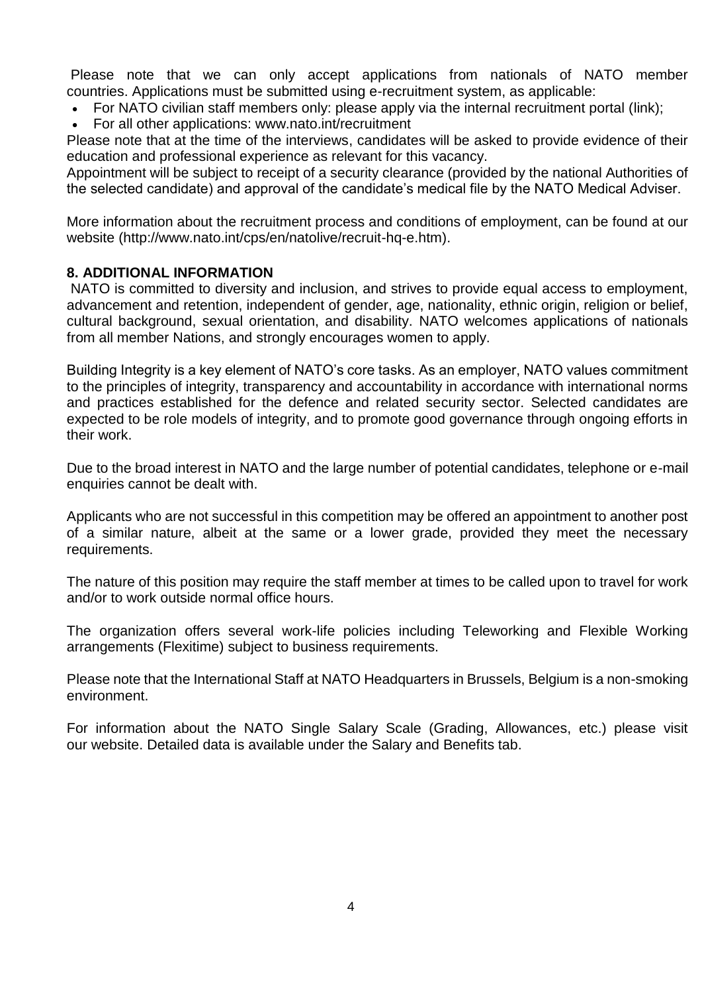Please note that we can only accept applications from nationals of NATO member countries. Applications must be submitted using e-recruitment system, as applicable:

- For NATO civilian staff members only: please apply via the internal recruitment portal [\(link\)](https://nato.taleo.net/careersection/1/jobsearch.ftl?lang=en);
- For all other applications: www.nato.int/recruitment

Please note that at the time of the interviews, candidates will be asked to provide evidence of their education and professional experience as relevant for this vacancy.

Appointment will be subject to receipt of a security clearance (provided by the national Authorities of the selected candidate) and approval of the candidate's medical file by the NATO Medical Adviser.

More information about the recruitment process and conditions of employment, can be found at our website (http://www.nato.int/cps/en/natolive/recruit-hq-e.htm).

### **8. ADDITIONAL INFORMATION**

NATO is committed to diversity and inclusion, and strives to provide equal access to employment, advancement and retention, independent of gender, age, nationality, ethnic origin, religion or belief, cultural background, sexual orientation, and disability. NATO welcomes applications of nationals from all member Nations, and strongly encourages women to apply.

Building Integrity is a key element of NATO's core tasks. As an employer, NATO values commitment to the principles of integrity, transparency and accountability in accordance with international norms and practices established for the defence and related security sector. Selected candidates are expected to be role models of integrity, and to promote good governance through ongoing efforts in their work.

Due to the broad interest in NATO and the large number of potential candidates, telephone or e-mail enquiries cannot be dealt with.

Applicants who are not successful in this competition may be offered an appointment to another post of a similar nature, albeit at the same or a lower grade, provided they meet the necessary requirements.

The nature of this position may require the staff member at times to be called upon to travel for work and/or to work outside normal office hours.

The organization offers several work-life policies including Teleworking and Flexible Working arrangements (Flexitime) subject to business requirements.

Please note that the International Staff at NATO Headquarters in Brussels, Belgium is a non-smoking environment.

For information about the NATO Single Salary Scale (Grading, Allowances, etc.) please visit our [website.](https://www.nato.int/cps/en/natolive/86790.htm) Detailed data is available under the Salary and Benefits tab.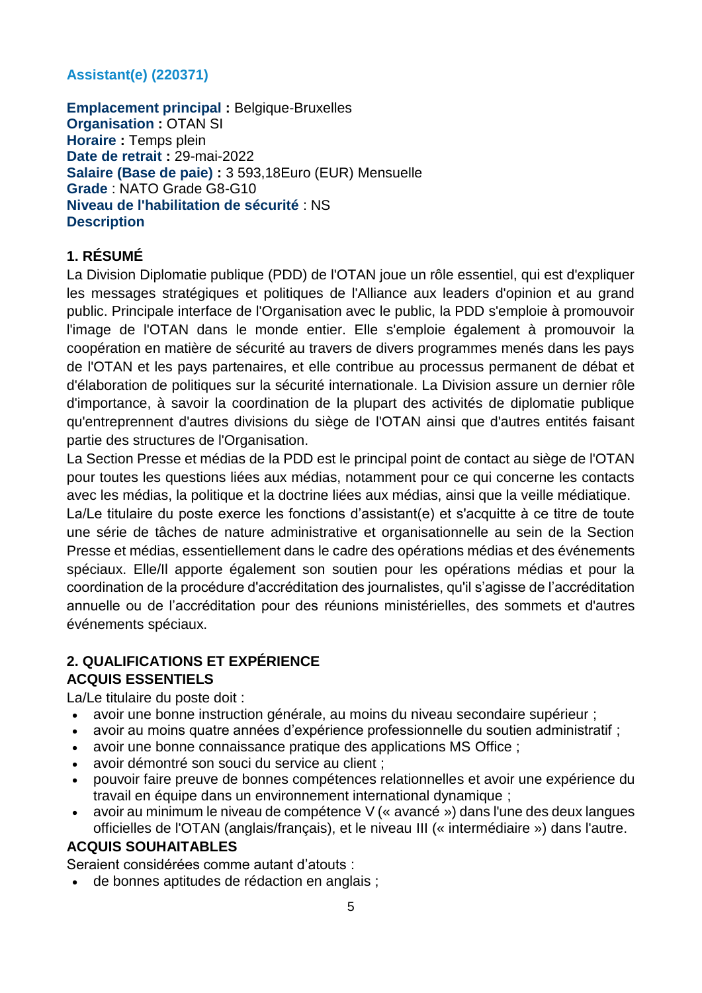# **Assistant(e) (220371)**

**Emplacement principal :** Belgique-Bruxelles **Organisation :** OTAN SI **Horaire :** Temps plein **Date de retrait :** 29-mai-2022 **Salaire (Base de paie) :** 3 593,18Euro (EUR) Mensuelle **Grade** : NATO Grade G8-G10 **Niveau de l'habilitation de sécurité** : NS **Description**

# **1. RÉSUMÉ**

La Division Diplomatie publique (PDD) de l'OTAN joue un rôle essentiel, qui est d'expliquer les messages stratégiques et politiques de l'Alliance aux leaders d'opinion et au grand public. Principale interface de l'Organisation avec le public, la PDD s'emploie à promouvoir l'image de l'OTAN dans le monde entier. Elle s'emploie également à promouvoir la coopération en matière de sécurité au travers de divers programmes menés dans les pays de l'OTAN et les pays partenaires, et elle contribue au processus permanent de débat et d'élaboration de politiques sur la sécurité internationale. La Division assure un dernier rôle d'importance, à savoir la coordination de la plupart des activités de diplomatie publique qu'entreprennent d'autres divisions du siège de l'OTAN ainsi que d'autres entités faisant partie des structures de l'Organisation.

La Section Presse et médias de la PDD est le principal point de contact au siège de l'OTAN pour toutes les questions liées aux médias, notamment pour ce qui concerne les contacts avec les médias, la politique et la doctrine liées aux médias, ainsi que la veille médiatique.

La/Le titulaire du poste exerce les fonctions d'assistant(e) et s'acquitte à ce titre de toute une série de tâches de nature administrative et organisationnelle au sein de la Section Presse et médias, essentiellement dans le cadre des opérations médias et des événements spéciaux. Elle/Il apporte également son soutien pour les opérations médias et pour la coordination de la procédure d'accréditation des journalistes, qu'il s'agisse de l'accréditation annuelle ou de l'accréditation pour des réunions ministérielles, des sommets et d'autres événements spéciaux.

# **2. QUALIFICATIONS ET EXPÉRIENCE ACQUIS ESSENTIELS**

La/Le titulaire du poste doit :

- avoir une bonne instruction générale, au moins du niveau secondaire supérieur ;
- avoir au moins quatre années d'expérience professionnelle du soutien administratif ;
- avoir une bonne connaissance pratique des applications MS Office ;
- avoir démontré son souci du service au client ;
- pouvoir faire preuve de bonnes compétences relationnelles et avoir une expérience du travail en équipe dans un environnement international dynamique ;
- avoir au minimum le niveau de compétence V (« avancé ») dans l'une des deux langues officielles de l'OTAN (anglais/français), et le niveau III (« intermédiaire ») dans l'autre.

# **ACQUIS SOUHAITABLES**

Seraient considérées comme autant d'atouts :

de bonnes aptitudes de rédaction en anglais ;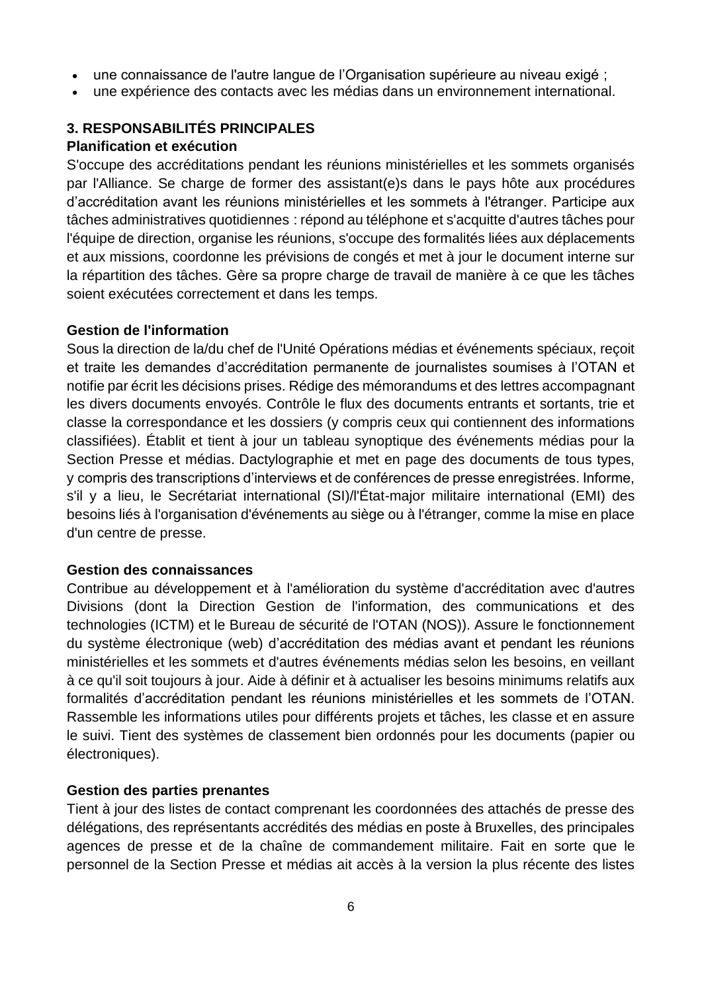- une connaissance de l'autre langue de l'Organisation supérieure au niveau exigé ;
- une expérience des contacts avec les médias dans un environnement international.

## **3. RESPONSABILITÉS PRINCIPALES**

### **Planification et exécution**

S'occupe des accréditations pendant les réunions ministérielles et les sommets organisés par l'Alliance. Se charge de former des assistant(e)s dans le pays hôte aux procédures d'accréditation avant les réunions ministérielles et les sommets à l'étranger. Participe aux tâches administratives quotidiennes : répond au téléphone et s'acquitte d'autres tâches pour l'équipe de direction, organise les réunions, s'occupe des formalités liées aux déplacements et aux missions, coordonne les prévisions de congés et met à jour le document interne sur la répartition des tâches. Gère sa propre charge de travail de manière à ce que les tâches soient exécutées correctement et dans les temps.

### **Gestion de l'information**

Sous la direction de la/du chef de l'Unité Opérations médias et événements spéciaux, reçoit et traite les demandes d'accréditation permanente de journalistes soumises à l'OTAN et notifie par écrit les décisions prises. Rédige des mémorandums et des lettres accompagnant les divers documents envoyés. Contrôle le flux des documents entrants et sortants, trie et classe la correspondance et les dossiers (y compris ceux qui contiennent des informations classifiées). Établit et tient à jour un tableau synoptique des événements médias pour la Section Presse et médias. Dactylographie et met en page des documents de tous types, y compris des transcriptions d'interviews et de conférences de presse enregistrées. Informe, s'il y a lieu, le Secrétariat international (SI)/l'État-major militaire international (EMI) des besoins liés à l'organisation d'événements au siège ou à l'étranger, comme la mise en place d'un centre de presse.

### **Gestion des connaissances**

Contribue au développement et à l'amélioration du système d'accréditation avec d'autres Divisions (dont la Direction Gestion de l'information, des communications et des technologies (ICTM) et le Bureau de sécurité de l'OTAN (NOS)). Assure le fonctionnement du système électronique (web) d'accréditation des médias avant et pendant les réunions ministérielles et les sommets et d'autres événements médias selon les besoins, en veillant à ce qu'il soit toujours à jour. Aide à définir et à actualiser les besoins minimums relatifs aux formalités d'accréditation pendant les réunions ministérielles et les sommets de l'OTAN. Rassemble les informations utiles pour différents projets et tâches, les classe et en assure le suivi. Tient des systèmes de classement bien ordonnés pour les documents (papier ou électroniques).

### **Gestion des parties prenantes**

Tient à jour des listes de contact comprenant les coordonnées des attachés de presse des délégations, des représentants accrédités des médias en poste à Bruxelles, des principales agences de presse et de la chaîne de commandement militaire. Fait en sorte que le personnel de la Section Presse et médias ait accès à la version la plus récente des listes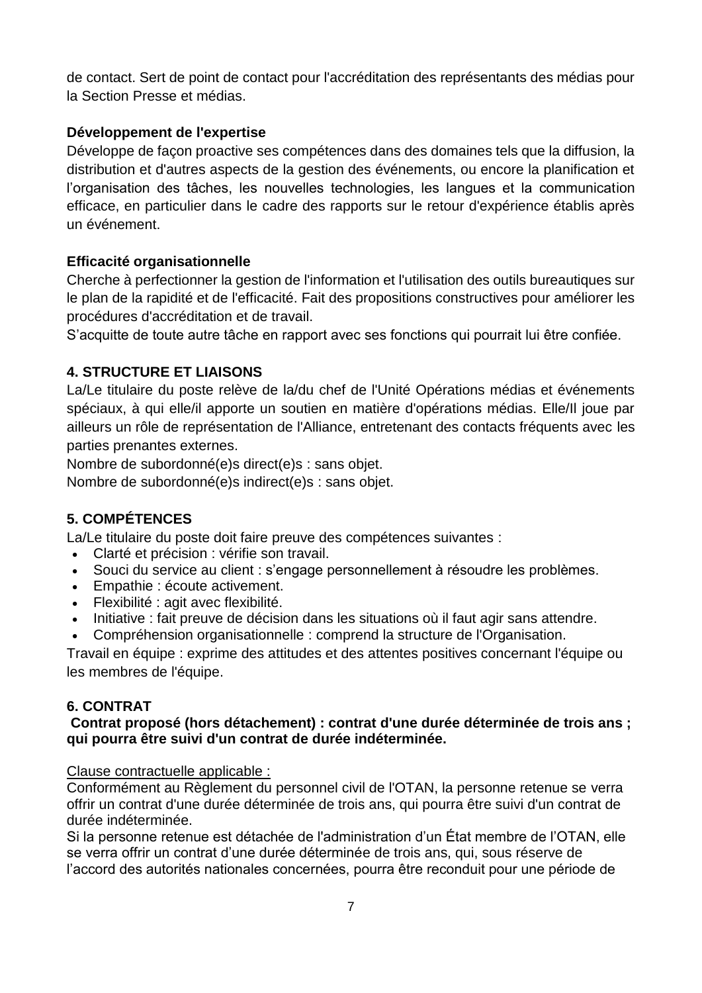de contact. Sert de point de contact pour l'accréditation des représentants des médias pour la Section Presse et médias.

## **Développement de l'expertise**

Développe de façon proactive ses compétences dans des domaines tels que la diffusion, la distribution et d'autres aspects de la gestion des événements, ou encore la planification et l'organisation des tâches, les nouvelles technologies, les langues et la communication efficace, en particulier dans le cadre des rapports sur le retour d'expérience établis après un événement.

### **Efficacité organisationnelle**

Cherche à perfectionner la gestion de l'information et l'utilisation des outils bureautiques sur le plan de la rapidité et de l'efficacité. Fait des propositions constructives pour améliorer les procédures d'accréditation et de travail.

S'acquitte de toute autre tâche en rapport avec ses fonctions qui pourrait lui être confiée.

### **4. STRUCTURE ET LIAISONS**

La/Le titulaire du poste relève de la/du chef de l'Unité Opérations médias et événements spéciaux, à qui elle/il apporte un soutien en matière d'opérations médias. Elle/Il joue par ailleurs un rôle de représentation de l'Alliance, entretenant des contacts fréquents avec les parties prenantes externes.

Nombre de subordonné(e)s direct(e)s : sans objet.

Nombre de subordonné(e)s indirect(e)s : sans objet.

# **5. COMPÉTENCES**

La/Le titulaire du poste doit faire preuve des compétences suivantes :

- Clarté et précision : vérifie son travail.
- Souci du service au client : s'engage personnellement à résoudre les problèmes.
- Empathie : écoute activement.
- Flexibilité : agit avec flexibilité.
- Initiative : fait preuve de décision dans les situations où il faut agir sans attendre.
- Compréhension organisationnelle : comprend la structure de l'Organisation.

Travail en équipe : exprime des attitudes et des attentes positives concernant l'équipe ou les membres de l'équipe.

### **6. CONTRAT**

### **Contrat proposé (hors détachement) : contrat d'une durée déterminée de trois ans ; qui pourra être suivi d'un contrat de durée indéterminée.**

### Clause contractuelle applicable :

Conformément au Règlement du personnel civil de l'OTAN, la personne retenue se verra offrir un contrat d'une durée déterminée de trois ans, qui pourra être suivi d'un contrat de durée indéterminée.

Si la personne retenue est détachée de l'administration d'un État membre de l'OTAN, elle se verra offrir un contrat d'une durée déterminée de trois ans, qui, sous réserve de l'accord des autorités nationales concernées, pourra être reconduit pour une période de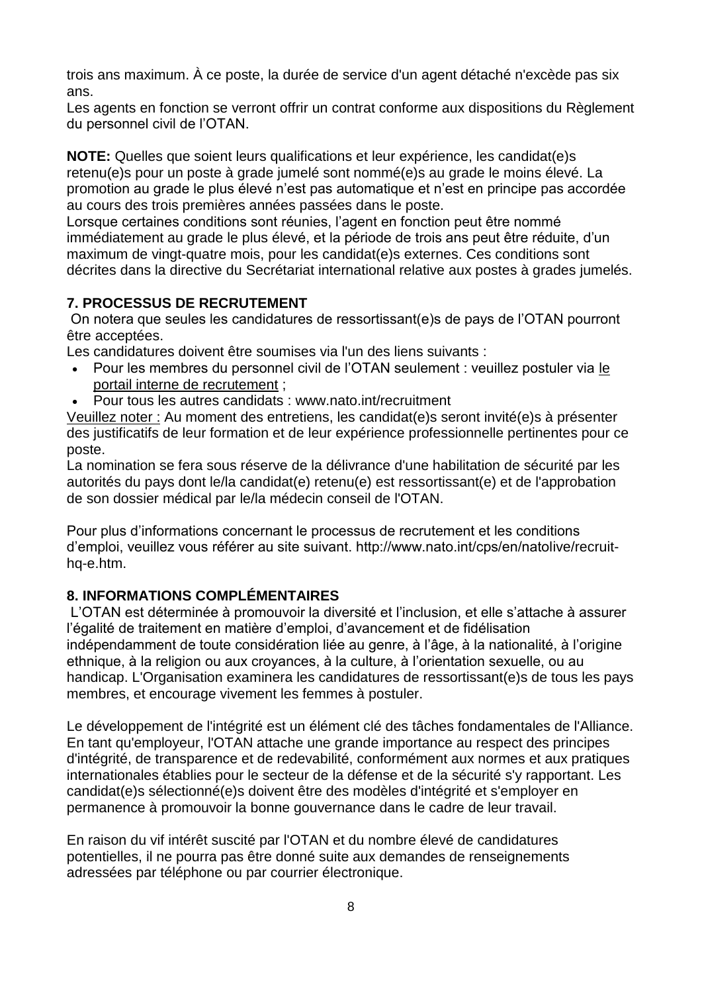trois ans maximum. À ce poste, la durée de service d'un agent détaché n'excède pas six ans.

Les agents en fonction se verront offrir un contrat conforme aux dispositions du Règlement du personnel civil de l'OTAN.

**NOTE:** Quelles que soient leurs qualifications et leur expérience, les candidat(e)s retenu(e)s pour un poste à grade jumelé sont nommé(e)s au grade le moins élevé. La promotion au grade le plus élevé n'est pas automatique et n'est en principe pas accordée au cours des trois premières années passées dans le poste.

Lorsque certaines conditions sont réunies, l'agent en fonction peut être nommé immédiatement au grade le plus élevé, et la période de trois ans peut être réduite, d'un maximum de vingt-quatre mois, pour les candidat(e)s externes. Ces conditions sont décrites dans la directive du Secrétariat international relative aux postes à grades jumelés.

# **7. PROCESSUS DE RECRUTEMENT**

On notera que seules les candidatures de ressortissant(e)s de pays de l'OTAN pourront être acceptées.

Les candidatures doivent être soumises via l'un des liens suivants :

- Pour les membres du personnel civil de l'OTAN seulement : veuillez postuler via [le](http://nato.taleo.net/careersection/1/jobsearch.ftl?lang=en)  [portail interne de recrutement](http://nato.taleo.net/careersection/1/jobsearch.ftl?lang=en) ;
- Pour tous les autres candidats : www.nato.int/recruitment

Veuillez noter : Au moment des entretiens, les candidat(e)s seront invité(e)s à présenter des justificatifs de leur formation et de leur expérience professionnelle pertinentes pour ce poste.

La nomination se fera sous réserve de la délivrance d'une habilitation de sécurité par les autorités du pays dont le/la candidat(e) retenu(e) est ressortissant(e) et de l'approbation de son dossier médical par le/la médecin conseil de l'OTAN.

Pour plus d'informations concernant le processus de recrutement et les conditions d'emploi, veuillez vous référer au site suivant. http://www.nato.int/cps/en/natolive/recruithq-e.htm.

# **8. INFORMATIONS COMPLÉMENTAIRES**

L'OTAN est déterminée à promouvoir la diversité et l'inclusion, et elle s'attache à assurer l'égalité de traitement en matière d'emploi, d'avancement et de fidélisation indépendamment de toute considération liée au genre, à l'âge, à la nationalité, à l'origine ethnique, à la religion ou aux croyances, à la culture, à l'orientation sexuelle, ou au handicap. L'Organisation examinera les candidatures de ressortissant(e)s de tous les pays membres, et encourage vivement les femmes à postuler.

Le développement de l'intégrité est un élément clé des tâches fondamentales de l'Alliance. En tant qu'employeur, l'OTAN attache une grande importance au respect des principes d'intégrité, de transparence et de redevabilité, conformément aux normes et aux pratiques internationales établies pour le secteur de la défense et de la sécurité s'y rapportant. Les candidat(e)s sélectionné(e)s doivent être des modèles d'intégrité et s'employer en permanence à promouvoir la bonne gouvernance dans le cadre de leur travail.

En raison du vif intérêt suscité par l'OTAN et du nombre élevé de candidatures potentielles, il ne pourra pas être donné suite aux demandes de renseignements adressées par téléphone ou par courrier électronique.